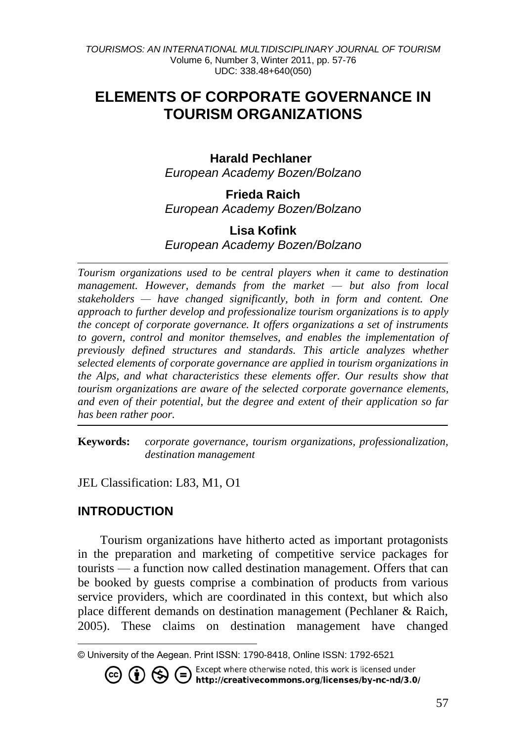# **ELEMENTS OF CORPORATE GOVERNANCE IN TOURISM ORGANIZATIONS**

## **Harald Pechlaner**

*European Academy Bozen/Bolzano* 

**Frieda Raich** *European Academy Bozen/Bolzano* 

### **Lisa Kofink** *European Academy Bozen/Bolzano*

*Tourism organizations used to be central players when it came to destination management. However, demands from the market — but also from local stakeholders — have changed significantly, both in form and content. One approach to further develop and professionalize tourism organizations is to apply the concept of corporate governance. It offers organizations a set of instruments to govern, control and monitor themselves, and enables the implementation of previously defined structures and standards. This article analyzes whether selected elements of corporate governance are applied in tourism organizations in the Alps, and what characteristics these elements offer. Our results show that tourism organizations are aware of the selected corporate governance elements, and even of their potential, but the degree and extent of their application so far has been rather poor.*

**Keywords:** *corporate governance, tourism organizations, professionalization, destination management*

JEL Classification: L83, M1, O1

## **INTRODUCTION**

Tourism organizations have hitherto acted as important protagonists in the preparation and marketing of competitive service packages for tourists — a function now called destination management. Offers that can be booked by guests comprise a combination of products from various service providers, which are coordinated in this context, but which also place different demands on destination management (Pechlaner & Raich, 2005). These claims on destination management have changed

Except where otherwise noted, this work is licensed under ∈ (\$ / http://creativecommons.org/licenses/by-nc-nd/3.0/

l © University of the Aegean. Print ISSN: 1790-8418, Online ISSN: 1792-6521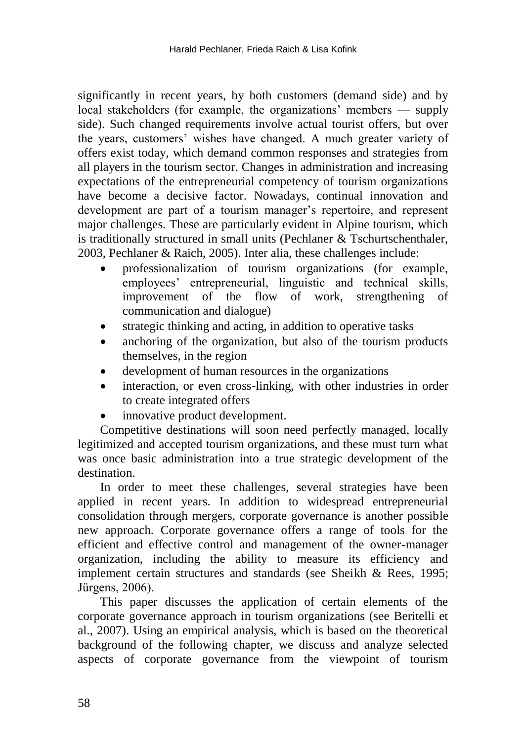significantly in recent years, by both customers (demand side) and by local stakeholders (for example, the organizations' members — supply side). Such changed requirements involve actual tourist offers, but over the years, customers' wishes have changed. A much greater variety of offers exist today, which demand common responses and strategies from all players in the tourism sector. Changes in administration and increasing expectations of the entrepreneurial competency of tourism organizations have become a decisive factor. Nowadays, continual innovation and development are part of a tourism manager's repertoire, and represent major challenges. These are particularly evident in Alpine tourism, which is traditionally structured in small units (Pechlaner & Tschurtschenthaler, 2003, Pechlaner & Raich, 2005). Inter alia, these challenges include:

- professionalization of tourism organizations (for example, employees' entrepreneurial, linguistic and technical skills, improvement of the flow of work, strengthening of communication and dialogue)
- strategic thinking and acting, in addition to operative tasks
- anchoring of the organization, but also of the tourism products themselves, in the region
- development of human resources in the organizations
- interaction, or even cross-linking, with other industries in order to create integrated offers
- innovative product development.

Competitive destinations will soon need perfectly managed, locally legitimized and accepted tourism organizations, and these must turn what was once basic administration into a true strategic development of the destination.

In order to meet these challenges, several strategies have been applied in recent years. In addition to widespread entrepreneurial consolidation through mergers, corporate governance is another possible new approach. Corporate governance offers a range of tools for the efficient and effective control and management of the owner-manager organization, including the ability to measure its efficiency and implement certain structures and standards (see Sheikh & Rees, 1995; Jürgens, 2006).

This paper discusses the application of certain elements of the corporate governance approach in tourism organizations (see Beritelli et al., 2007). Using an empirical analysis, which is based on the theoretical background of the following chapter, we discuss and analyze selected aspects of corporate governance from the viewpoint of tourism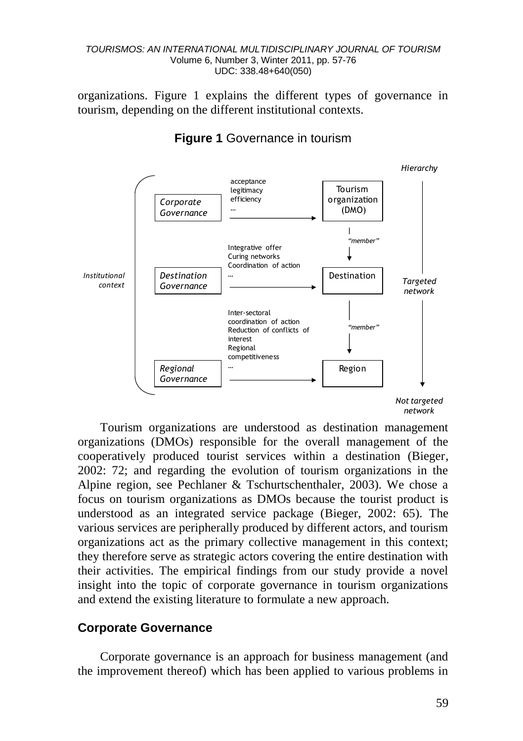organizations. Figure 1 explains the different types of governance in tourism, depending on the different institutional contexts.



**Figure 1** Governance in tourism

Tourism organizations are understood as destination management organizations (DMOs) responsible for the overall management of the cooperatively produced tourist services within a destination (Bieger, 2002: 72; and regarding the evolution of tourism organizations in the Alpine region, see Pechlaner & Tschurtschenthaler, 2003). We chose a focus on tourism organizations as DMOs because the tourist product is understood as an integrated service package (Bieger, 2002: 65). The various services are peripherally produced by different actors, and tourism organizations act as the primary collective management in this context; they therefore serve as strategic actors covering the entire destination with their activities. The empirical findings from our study provide a novel insight into the topic of corporate governance in tourism organizations and extend the existing literature to formulate a new approach.

### **Corporate Governance**

Corporate governance is an approach for business management (and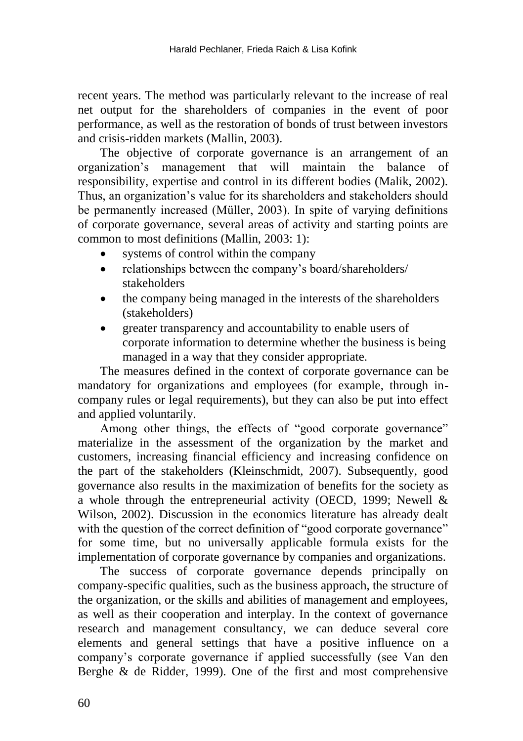recent years. The method was particularly relevant to the increase of real net output for the shareholders of companies in the event of poor performance, as well as the restoration of bonds of trust between investors and crisis-ridden markets (Mallin, 2003).

The objective of corporate governance is an arrangement of an organization's management that will maintain the balance of responsibility, expertise and control in its different bodies (Malik, 2002). Thus, an organization's value for its shareholders and stakeholders should be permanently increased (Müller, 2003). In spite of varying definitions of corporate governance, several areas of activity and starting points are common to most definitions (Mallin, 2003: 1):

- systems of control within the company
- relationships between the company's board/shareholders/ stakeholders
- the company being managed in the interests of the shareholders (stakeholders)
- greater transparency and accountability to enable users of corporate information to determine whether the business is being managed in a way that they consider appropriate.

The measures defined in the context of corporate governance can be mandatory for organizations and employees (for example, through incompany rules or legal requirements), but they can also be put into effect and applied voluntarily.

Among other things, the effects of "good corporate governance" materialize in the assessment of the organization by the market and customers, increasing financial efficiency and increasing confidence on the part of the stakeholders (Kleinschmidt, 2007). Subsequently, good governance also results in the maximization of benefits for the society as a whole through the entrepreneurial activity (OECD, 1999; Newell & Wilson, 2002). Discussion in the economics literature has already dealt with the question of the correct definition of "good corporate governance" for some time, but no universally applicable formula exists for the implementation of corporate governance by companies and organizations.

The success of corporate governance depends principally on company-specific qualities, such as the business approach, the structure of the organization, or the skills and abilities of management and employees, as well as their cooperation and interplay. In the context of governance research and management consultancy, we can deduce several core elements and general settings that have a positive influence on a company's corporate governance if applied successfully (see Van den Berghe & de Ridder, 1999). One of the first and most comprehensive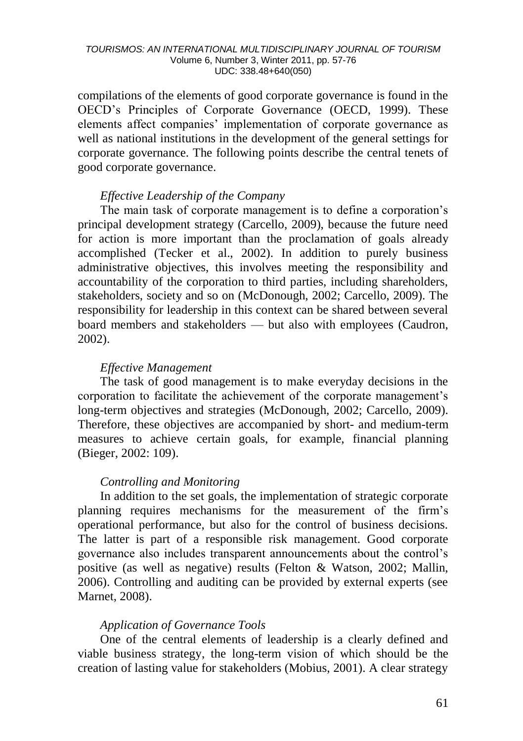compilations of the elements of good corporate governance is found in the OECD's Principles of Corporate Governance (OECD, 1999). These elements affect companies' implementation of corporate governance as well as national institutions in the development of the general settings for corporate governance. The following points describe the central tenets of good corporate governance.

#### *Effective Leadership of the Company*

The main task of corporate management is to define a corporation's principal development strategy (Carcello, 2009), because the future need for action is more important than the proclamation of goals already accomplished (Tecker et al., 2002). In addition to purely business administrative objectives, this involves meeting the responsibility and accountability of the corporation to third parties, including shareholders, stakeholders, society and so on (McDonough, 2002; Carcello, 2009). The responsibility for leadership in this context can be shared between several board members and stakeholders — but also with employees (Caudron, 2002).

#### *Effective Management*

The task of good management is to make everyday decisions in the corporation to facilitate the achievement of the corporate management's long-term objectives and strategies (McDonough, 2002; Carcello, 2009). Therefore, these objectives are accompanied by short- and medium-term measures to achieve certain goals, for example, financial planning (Bieger, 2002: 109).

### *Controlling and Monitoring*

In addition to the set goals, the implementation of strategic corporate planning requires mechanisms for the measurement of the firm's operational performance, but also for the control of business decisions. The latter is part of a responsible risk management. Good corporate governance also includes transparent announcements about the control's positive (as well as negative) results (Felton & Watson, 2002; Mallin, 2006). Controlling and auditing can be provided by external experts (see Marnet, 2008).

### *Application of Governance Tools*

One of the central elements of leadership is a clearly defined and viable business strategy, the long-term vision of which should be the creation of lasting value for stakeholders (Mobius, 2001). A clear strategy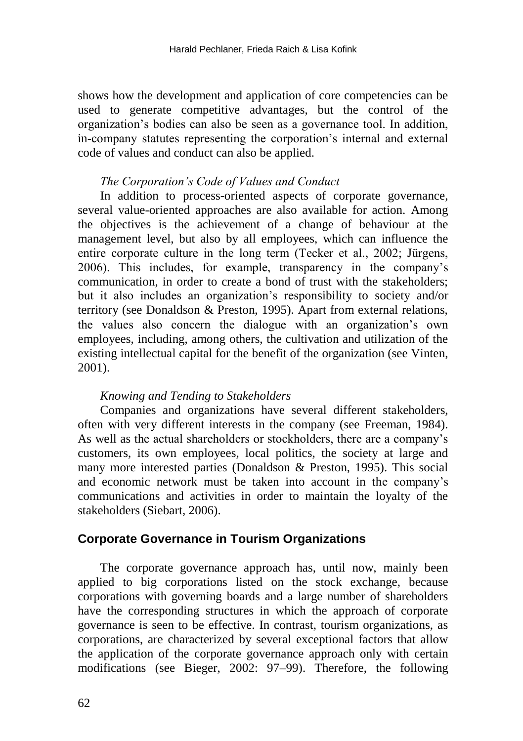shows how the development and application of core competencies can be used to generate competitive advantages, but the control of the organization's bodies can also be seen as a governance tool. In addition, in-company statutes representing the corporation's internal and external code of values and conduct can also be applied.

#### *The Corporation's Code of Values and Conduct*

In addition to process-oriented aspects of corporate governance, several value-oriented approaches are also available for action. Among the objectives is the achievement of a change of behaviour at the management level, but also by all employees, which can influence the entire corporate culture in the long term (Tecker et al., 2002; Jürgens, 2006). This includes, for example, transparency in the company's communication, in order to create a bond of trust with the stakeholders; but it also includes an organization's responsibility to society and/or territory (see Donaldson & Preston, 1995). Apart from external relations, the values also concern the dialogue with an organization's own employees, including, among others, the cultivation and utilization of the existing intellectual capital for the benefit of the organization (see Vinten, 2001).

#### *Knowing and Tending to Stakeholders*

Companies and organizations have several different stakeholders, often with very different interests in the company (see Freeman, 1984). As well as the actual shareholders or stockholders, there are a company's customers, its own employees, local politics, the society at large and many more interested parties (Donaldson & Preston, 1995). This social and economic network must be taken into account in the company's communications and activities in order to maintain the loyalty of the stakeholders (Siebart, 2006).

### **Corporate Governance in Tourism Organizations**

The corporate governance approach has, until now, mainly been applied to big corporations listed on the stock exchange, because corporations with governing boards and a large number of shareholders have the corresponding structures in which the approach of corporate governance is seen to be effective. In contrast, tourism organizations, as corporations, are characterized by several exceptional factors that allow the application of the corporate governance approach only with certain modifications (see Bieger, 2002: 97–99). Therefore, the following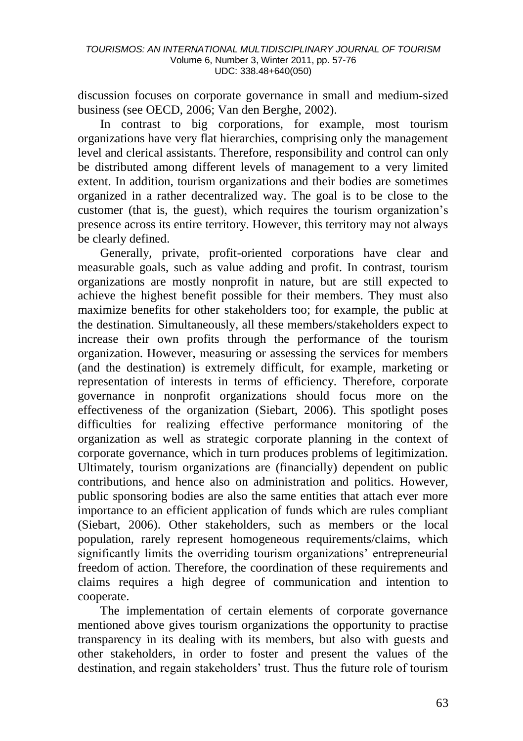discussion focuses on corporate governance in small and medium-sized business (see OECD, 2006; Van den Berghe, 2002).

In contrast to big corporations, for example, most tourism organizations have very flat hierarchies, comprising only the management level and clerical assistants. Therefore, responsibility and control can only be distributed among different levels of management to a very limited extent. In addition, tourism organizations and their bodies are sometimes organized in a rather decentralized way. The goal is to be close to the customer (that is, the guest), which requires the tourism organization's presence across its entire territory. However, this territory may not always be clearly defined.

Generally, private, profit-oriented corporations have clear and measurable goals, such as value adding and profit. In contrast, tourism organizations are mostly nonprofit in nature, but are still expected to achieve the highest benefit possible for their members. They must also maximize benefits for other stakeholders too; for example, the public at the destination. Simultaneously, all these members/stakeholders expect to increase their own profits through the performance of the tourism organization. However, measuring or assessing the services for members (and the destination) is extremely difficult, for example, marketing or representation of interests in terms of efficiency. Therefore, corporate governance in nonprofit organizations should focus more on the effectiveness of the organization (Siebart, 2006). This spotlight poses difficulties for realizing effective performance monitoring of the organization as well as strategic corporate planning in the context of corporate governance, which in turn produces problems of legitimization. Ultimately, tourism organizations are (financially) dependent on public contributions, and hence also on administration and politics. However, public sponsoring bodies are also the same entities that attach ever more importance to an efficient application of funds which are rules compliant (Siebart, 2006). Other stakeholders, such as members or the local population, rarely represent homogeneous requirements/claims, which significantly limits the overriding tourism organizations' entrepreneurial freedom of action. Therefore, the coordination of these requirements and claims requires a high degree of communication and intention to cooperate.

The implementation of certain elements of corporate governance mentioned above gives tourism organizations the opportunity to practise transparency in its dealing with its members, but also with guests and other stakeholders, in order to foster and present the values of the destination, and regain stakeholders' trust. Thus the future role of tourism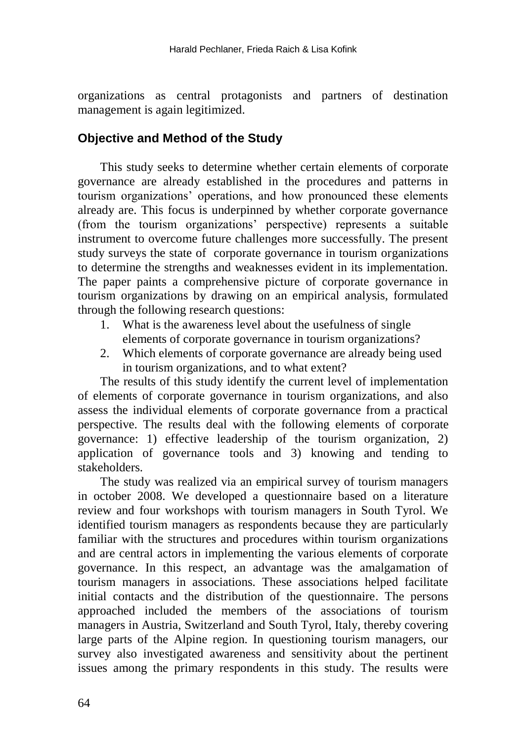organizations as central protagonists and partners of destination management is again legitimized.

## **Objective and Method of the Study**

This study seeks to determine whether certain elements of corporate governance are already established in the procedures and patterns in tourism organizations' operations, and how pronounced these elements already are. This focus is underpinned by whether corporate governance (from the tourism organizations' perspective) represents a suitable instrument to overcome future challenges more successfully. The present study surveys the state of corporate governance in tourism organizations to determine the strengths and weaknesses evident in its implementation. The paper paints a comprehensive picture of corporate governance in tourism organizations by drawing on an empirical analysis, formulated through the following research questions:

- 1. What is the awareness level about the usefulness of single elements of corporate governance in tourism organizations?
- 2. Which elements of corporate governance are already being used in tourism organizations, and to what extent?

The results of this study identify the current level of implementation of elements of corporate governance in tourism organizations, and also assess the individual elements of corporate governance from a practical perspective. The results deal with the following elements of corporate governance: 1) effective leadership of the tourism organization, 2) application of governance tools and 3) knowing and tending to stakeholders.

The study was realized via an empirical survey of tourism managers in october 2008. We developed a questionnaire based on a literature review and four workshops with tourism managers in South Tyrol. We identified tourism managers as respondents because they are particularly familiar with the structures and procedures within tourism organizations and are central actors in implementing the various elements of corporate governance. In this respect, an advantage was the amalgamation of tourism managers in associations. These associations helped facilitate initial contacts and the distribution of the questionnaire. The persons approached included the members of the associations of tourism managers in Austria, Switzerland and South Tyrol, Italy, thereby covering large parts of the Alpine region. In questioning tourism managers, our survey also investigated awareness and sensitivity about the pertinent issues among the primary respondents in this study. The results were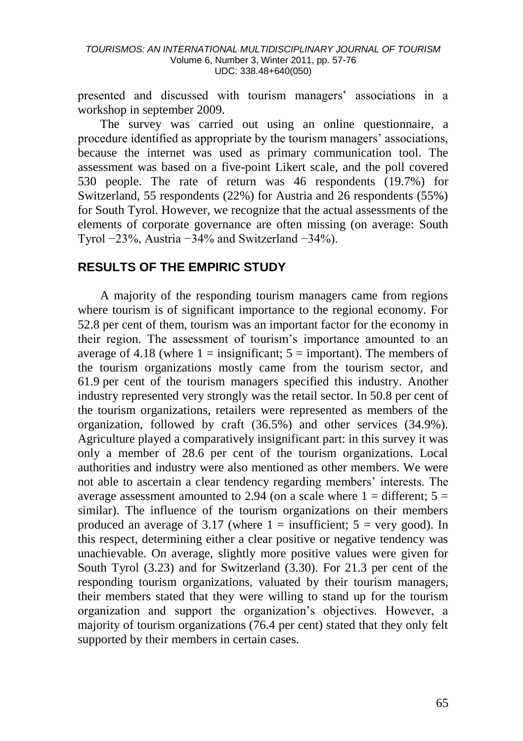presented and discussed with tourism managers' associations in a workshop in september 2009.

The survey was carried out using an online questionnaire, a procedure identified as appropriate by the tourism managers' associations, because the internet was used as primary communication tool. The assessment was based on a five-point Likert scale, and the poll covered 530 people. The rate of return was 46 respondents (19.7%) for Switzerland, 55 respondents (22%) for Austria and 26 respondents (55%) for South Tyrol. However, we recognize that the actual assessments of the elements of corporate governance are often missing (on average: South Tyrol −23%, Austria −34% and Switzerland −34%).

### **RESULTS OF THE EMPIRIC STUDY**

A majority of the responding tourism managers came from regions where tourism is of significant importance to the regional economy. For 52.8 per cent of them, tourism was an important factor for the economy in their region. The assessment of tourism's importance amounted to an average of 4.18 (where  $1 =$  insignificant;  $5 =$  important). The members of the tourism organizations mostly came from the tourism sector, and 61.9 per cent of the tourism managers specified this industry. Another industry represented very strongly was the retail sector. In 50.8 per cent of the tourism organizations, retailers were represented as members of the organization, followed by craft (36.5%) and other services (34.9%). Agriculture played a comparatively insignificant part: in this survey it was only a member of 28.6 per cent of the tourism organizations. Local authorities and industry were also mentioned as other members. We were not able to ascertain a clear tendency regarding members' interests. The average assessment amounted to 2.94 (on a scale where  $1 =$  different;  $5 =$ similar). The influence of the tourism organizations on their members produced an average of 3.17 (where  $1 =$  insufficient;  $5 =$  very good). In this respect, determining either a clear positive or negative tendency was unachievable. On average, slightly more positive values were given for South Tyrol (3.23) and for Switzerland (3.30). For 21.3 per cent of the responding tourism organizations, valuated by their tourism managers, their members stated that they were willing to stand up for the tourism organization and support the organization's objectives. However, a majority of tourism organizations (76.4 per cent) stated that they only felt supported by their members in certain cases.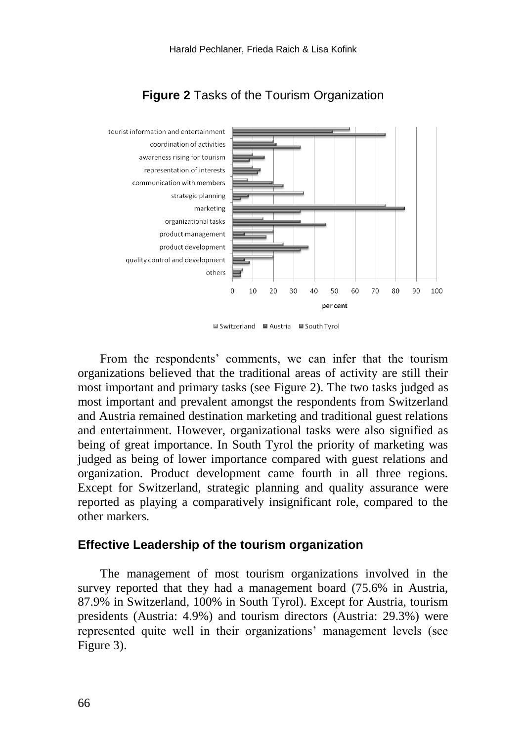

## **Figure 2** Tasks of the Tourism Organization

■ Switzerland ■ Austria ■ South Tyrol

From the respondents' comments, we can infer that the tourism organizations believed that the traditional areas of activity are still their most important and primary tasks (see Figure 2). The two tasks judged as most important and prevalent amongst the respondents from Switzerland and Austria remained destination marketing and traditional guest relations and entertainment. However, organizational tasks were also signified as being of great importance. In South Tyrol the priority of marketing was judged as being of lower importance compared with guest relations and organization. Product development came fourth in all three regions. Except for Switzerland, strategic planning and quality assurance were reported as playing a comparatively insignificant role, compared to the other markers.

#### **Effective Leadership of the tourism organization**

The management of most tourism organizations involved in the survey reported that they had a management board (75.6% in Austria, 87.9% in Switzerland, 100% in South Tyrol). Except for Austria, tourism presidents (Austria: 4.9%) and tourism directors (Austria: 29.3%) were represented quite well in their organizations' management levels (see Figure 3).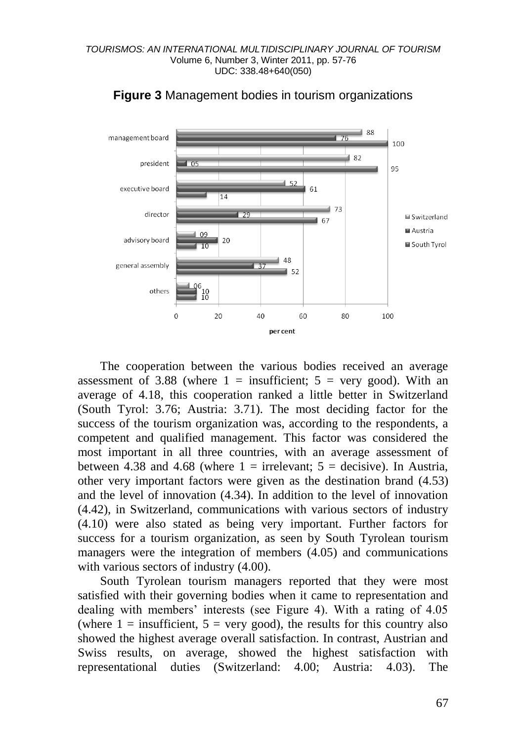

#### **Figure 3** Management bodies in tourism organizations

The cooperation between the various bodies received an average assessment of 3.88 (where  $1 =$  insufficient;  $5 =$  very good). With an average of 4.18, this cooperation ranked a little better in Switzerland (South Tyrol: 3.76; Austria: 3.71). The most deciding factor for the success of the tourism organization was, according to the respondents, a competent and qualified management. This factor was considered the most important in all three countries, with an average assessment of between 4.38 and 4.68 (where  $1 =$  irrelevant;  $5 =$  decisive). In Austria, other very important factors were given as the destination brand (4.53) and the level of innovation (4.34). In addition to the level of innovation (4.42), in Switzerland, communications with various sectors of industry (4.10) were also stated as being very important. Further factors for success for a tourism organization, as seen by South Tyrolean tourism managers were the integration of members (4.05) and communications with various sectors of industry  $(4.00)$ .

South Tyrolean tourism managers reported that they were most satisfied with their governing bodies when it came to representation and dealing with members' interests (see Figure 4). With a rating of 4.05 (where  $1 =$  insufficient,  $5 =$  very good), the results for this country also showed the highest average overall satisfaction. In contrast, Austrian and Swiss results, on average, showed the highest satisfaction with representational duties (Switzerland: 4.00; Austria: 4.03). The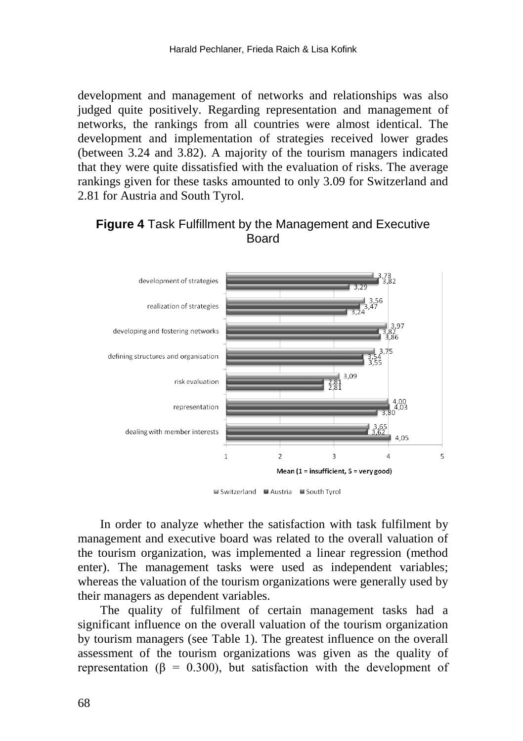development and management of networks and relationships was also judged quite positively. Regarding representation and management of networks, the rankings from all countries were almost identical. The development and implementation of strategies received lower grades (between 3.24 and 3.82). A majority of the tourism managers indicated that they were quite dissatisfied with the evaluation of risks. The average rankings given for these tasks amounted to only 3.09 for Switzerland and 2.81 for Austria and South Tyrol.

### **Figure 4** Task Fulfillment by the Management and Executive Board



■ Switzerland ■ Austria ■ South Tyrol

In order to analyze whether the satisfaction with task fulfilment by management and executive board was related to the overall valuation of the tourism organization, was implemented a linear regression (method enter). The management tasks were used as independent variables; whereas the valuation of the tourism organizations were generally used by their managers as dependent variables.

The quality of fulfilment of certain management tasks had a significant influence on the overall valuation of the tourism organization by tourism managers (see Table 1). The greatest influence on the overall assessment of the tourism organizations was given as the quality of representation ( $\beta = 0.300$ ), but satisfaction with the development of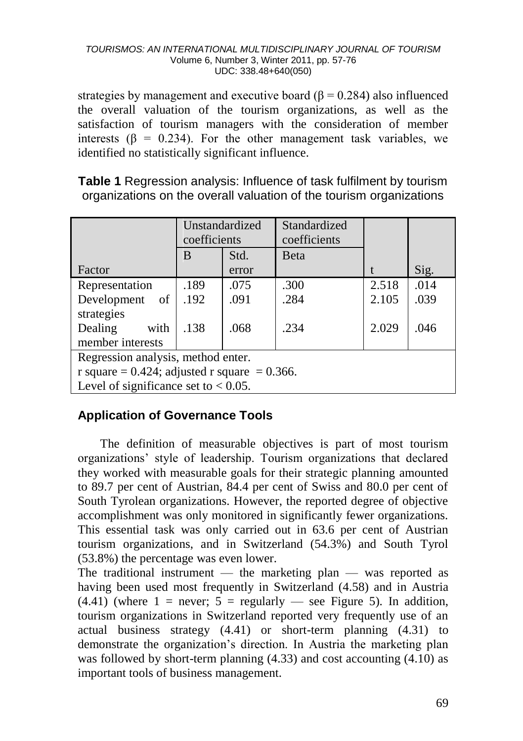strategies by management and executive board ( $\beta$  = 0.284) also influenced the overall valuation of the tourism organizations, as well as the satisfaction of tourism managers with the consideration of member interests ( $\beta$  = 0.234). For the other management task variables, we identified no statistically significant influence.

**Table 1** Regression analysis: Influence of task fulfilment by tourism organizations on the overall valuation of the tourism organizations

|                                              | Unstandardized<br>coefficients |       | Standardized<br>coefficients |       |      |
|----------------------------------------------|--------------------------------|-------|------------------------------|-------|------|
|                                              | B                              | Std.  | <b>B</b> eta                 |       |      |
| Factor                                       |                                | error |                              |       | Sig. |
| Representation                               | .189                           | .075  | .300                         | 2.518 | .014 |
| Development<br>of                            | .192                           | .091  | .284                         | 2.105 | .039 |
| strategies                                   |                                |       |                              |       |      |
| Dealing<br>with                              | .138                           | .068  | .234                         | 2.029 | .046 |
| member interests                             |                                |       |                              |       |      |
| Regression analysis, method enter.           |                                |       |                              |       |      |
| r square = 0.424; adjusted r square = 0.366. |                                |       |                              |       |      |
| Level of significance set to $< 0.05$ .      |                                |       |                              |       |      |

## **Application of Governance Tools**

The definition of measurable objectives is part of most tourism organizations' style of leadership. Tourism organizations that declared they worked with measurable goals for their strategic planning amounted to 89.7 per cent of Austrian, 84.4 per cent of Swiss and 80.0 per cent of South Tyrolean organizations. However, the reported degree of objective accomplishment was only monitored in significantly fewer organizations. This essential task was only carried out in 63.6 per cent of Austrian tourism organizations, and in Switzerland (54.3%) and South Tyrol (53.8%) the percentage was even lower.

The traditional instrument — the marketing plan — was reported as having been used most frequently in Switzerland (4.58) and in Austria  $(4.41)$  (where 1 = never; 5 = regularly — see Figure 5). In addition, tourism organizations in Switzerland reported very frequently use of an actual business strategy (4.41) or short-term planning (4.31) to demonstrate the organization's direction. In Austria the marketing plan was followed by short-term planning (4.33) and cost accounting (4.10) as important tools of business management.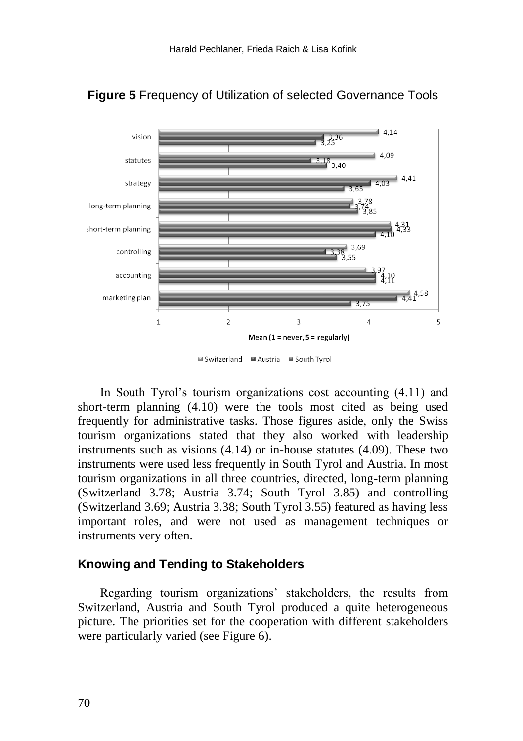

## **Figure 5** Frequency of Utilization of selected Governance Tools

■ Switzerland ■ Austria ■ South Tyrol

In South Tyrol's tourism organizations cost accounting (4.11) and short-term planning (4.10) were the tools most cited as being used frequently for administrative tasks. Those figures aside, only the Swiss tourism organizations stated that they also worked with leadership instruments such as visions (4.14) or in-house statutes (4.09). These two instruments were used less frequently in South Tyrol and Austria. In most tourism organizations in all three countries, directed, long-term planning (Switzerland 3.78; Austria 3.74; South Tyrol 3.85) and controlling (Switzerland 3.69; Austria 3.38; South Tyrol 3.55) featured as having less important roles, and were not used as management techniques or instruments very often.

#### **Knowing and Tending to Stakeholders**

Regarding tourism organizations' stakeholders, the results from Switzerland, Austria and South Tyrol produced a quite heterogeneous picture. The priorities set for the cooperation with different stakeholders were particularly varied (see Figure 6).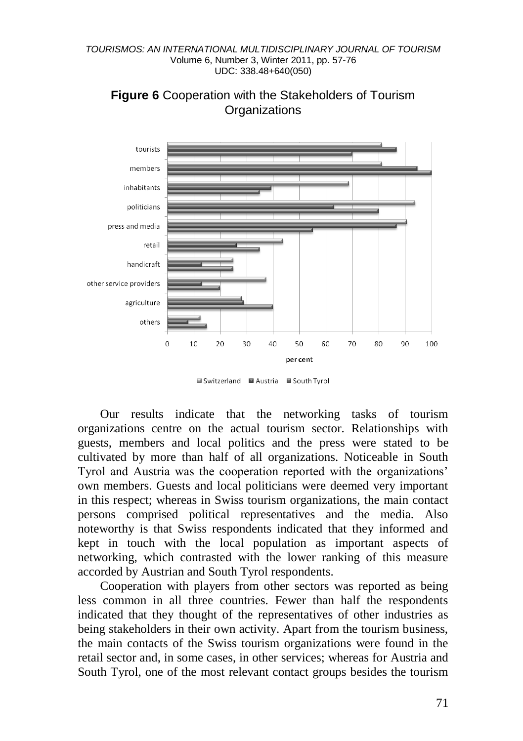

### **Figure 6** Cooperation with the Stakeholders of Tourism **Organizations**

■ Switzerland ■ Austria ■ South Tyrol

Our results indicate that the networking tasks of tourism organizations centre on the actual tourism sector. Relationships with guests, members and local politics and the press were stated to be cultivated by more than half of all organizations. Noticeable in South Tyrol and Austria was the cooperation reported with the organizations' own members. Guests and local politicians were deemed very important in this respect; whereas in Swiss tourism organizations, the main contact persons comprised political representatives and the media. Also noteworthy is that Swiss respondents indicated that they informed and kept in touch with the local population as important aspects of networking, which contrasted with the lower ranking of this measure accorded by Austrian and South Tyrol respondents.

Cooperation with players from other sectors was reported as being less common in all three countries. Fewer than half the respondents indicated that they thought of the representatives of other industries as being stakeholders in their own activity. Apart from the tourism business, the main contacts of the Swiss tourism organizations were found in the retail sector and, in some cases, in other services; whereas for Austria and South Tyrol, one of the most relevant contact groups besides the tourism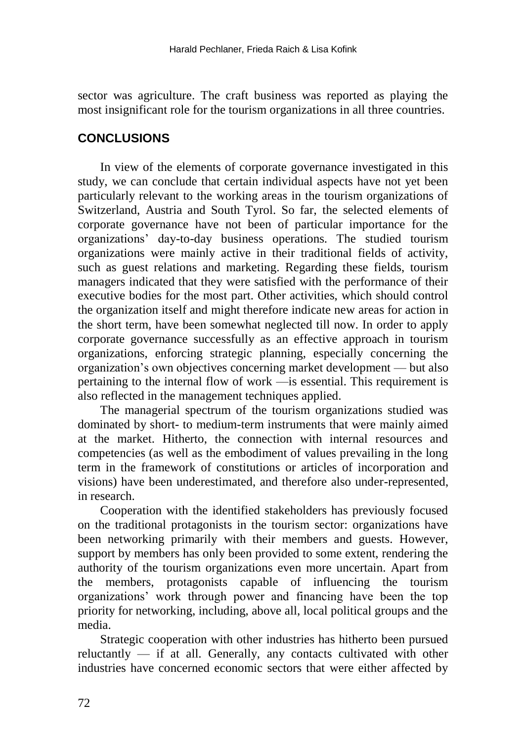sector was agriculture. The craft business was reported as playing the most insignificant role for the tourism organizations in all three countries.

## **CONCLUSIONS**

In view of the elements of corporate governance investigated in this study, we can conclude that certain individual aspects have not yet been particularly relevant to the working areas in the tourism organizations of Switzerland, Austria and South Tyrol. So far, the selected elements of corporate governance have not been of particular importance for the organizations' day-to-day business operations. The studied tourism organizations were mainly active in their traditional fields of activity, such as guest relations and marketing. Regarding these fields, tourism managers indicated that they were satisfied with the performance of their executive bodies for the most part. Other activities, which should control the organization itself and might therefore indicate new areas for action in the short term, have been somewhat neglected till now. In order to apply corporate governance successfully as an effective approach in tourism organizations, enforcing strategic planning, especially concerning the organization's own objectives concerning market development — but also pertaining to the internal flow of work —is essential. This requirement is also reflected in the management techniques applied.

The managerial spectrum of the tourism organizations studied was dominated by short- to medium-term instruments that were mainly aimed at the market. Hitherto, the connection with internal resources and competencies (as well as the embodiment of values prevailing in the long term in the framework of constitutions or articles of incorporation and visions) have been underestimated, and therefore also under-represented, in research.

Cooperation with the identified stakeholders has previously focused on the traditional protagonists in the tourism sector: organizations have been networking primarily with their members and guests. However, support by members has only been provided to some extent, rendering the authority of the tourism organizations even more uncertain. Apart from the members, protagonists capable of influencing the tourism organizations' work through power and financing have been the top priority for networking, including, above all, local political groups and the media.

Strategic cooperation with other industries has hitherto been pursued reluctantly — if at all. Generally, any contacts cultivated with other industries have concerned economic sectors that were either affected by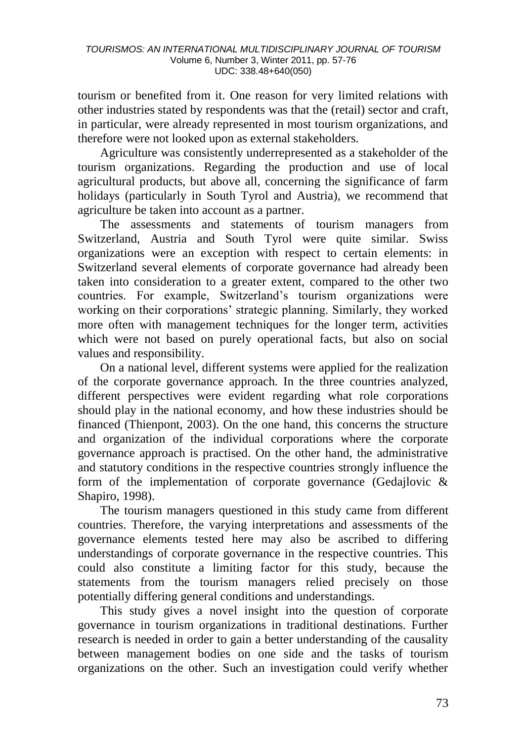tourism or benefited from it. One reason for very limited relations with other industries stated by respondents was that the (retail) sector and craft, in particular, were already represented in most tourism organizations, and therefore were not looked upon as external stakeholders.

Agriculture was consistently underrepresented as a stakeholder of the tourism organizations. Regarding the production and use of local agricultural products, but above all, concerning the significance of farm holidays (particularly in South Tyrol and Austria), we recommend that agriculture be taken into account as a partner.

The assessments and statements of tourism managers from Switzerland, Austria and South Tyrol were quite similar. Swiss organizations were an exception with respect to certain elements: in Switzerland several elements of corporate governance had already been taken into consideration to a greater extent, compared to the other two countries. For example, Switzerland's tourism organizations were working on their corporations' strategic planning. Similarly, they worked more often with management techniques for the longer term, activities which were not based on purely operational facts, but also on social values and responsibility.

On a national level, different systems were applied for the realization of the corporate governance approach. In the three countries analyzed, different perspectives were evident regarding what role corporations should play in the national economy, and how these industries should be financed (Thienpont, 2003). On the one hand, this concerns the structure and organization of the individual corporations where the corporate governance approach is practised. On the other hand, the administrative and statutory conditions in the respective countries strongly influence the form of the implementation of corporate governance (Gedajlovic & Shapiro, 1998).

The tourism managers questioned in this study came from different countries. Therefore, the varying interpretations and assessments of the governance elements tested here may also be ascribed to differing understandings of corporate governance in the respective countries. This could also constitute a limiting factor for this study, because the statements from the tourism managers relied precisely on those potentially differing general conditions and understandings.

This study gives a novel insight into the question of corporate governance in tourism organizations in traditional destinations. Further research is needed in order to gain a better understanding of the causality between management bodies on one side and the tasks of tourism organizations on the other. Such an investigation could verify whether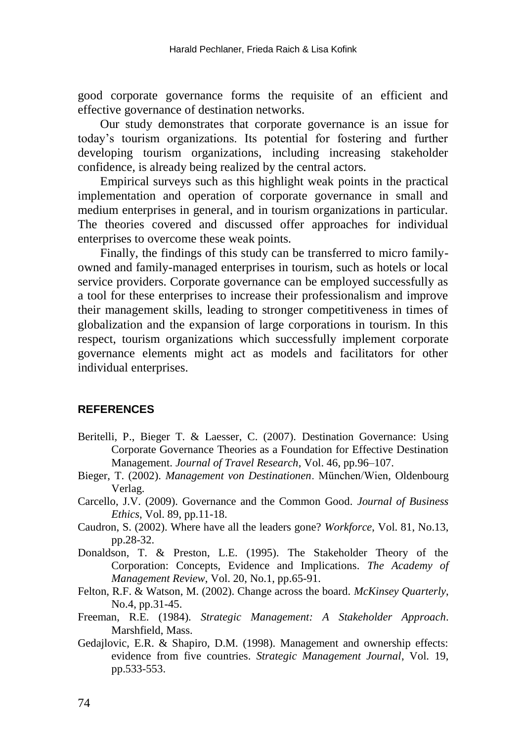good corporate governance forms the requisite of an efficient and effective governance of destination networks.

Our study demonstrates that corporate governance is an issue for today's tourism organizations. Its potential for fostering and further developing tourism organizations, including increasing stakeholder confidence, is already being realized by the central actors.

Empirical surveys such as this highlight weak points in the practical implementation and operation of corporate governance in small and medium enterprises in general, and in tourism organizations in particular. The theories covered and discussed offer approaches for individual enterprises to overcome these weak points.

Finally, the findings of this study can be transferred to micro familyowned and family-managed enterprises in tourism, such as hotels or local service providers. Corporate governance can be employed successfully as a tool for these enterprises to increase their professionalism and improve their management skills, leading to stronger competitiveness in times of globalization and the expansion of large corporations in tourism. In this respect, tourism organizations which successfully implement corporate governance elements might act as models and facilitators for other individual enterprises.

#### **REFERENCES**

- Beritelli, P., Bieger T. & Laesser, C. (2007). Destination Governance: Using Corporate Governance Theories as a Foundation for Effective Destination Management. *Journal of Travel Research*, Vol. 46, pp.96–107.
- Bieger, T. (2002). *Management von Destinationen*. München/Wien, Oldenbourg Verlag.
- Carcello, J.V. (2009). Governance and the Common Good. *Journal of Business Ethics*, Vol. 89, pp.11-18.
- Caudron, S. (2002). Where have all the leaders gone? *Workforce*, Vol. 81, No.13, pp.28-32.
- Donaldson, T. & Preston, L.E. (1995). The Stakeholder Theory of the Corporation: Concepts, Evidence and Implications. *The Academy of Management Review*, Vol. 20, No.1, pp.65-91.
- Felton, R.F. & Watson, M. (2002). Change across the board. *McKinsey Quarterly*, No.4, pp.31-45.
- Freeman, R.E. (1984). *Strategic Management: A Stakeholder Approach*. Marshfield, Mass.
- Gedajlovic, E.R. & Shapiro, D.M. (1998). Management and ownership effects: evidence from five countries. *Strategic Management Journal*, Vol. 19, pp.533-553.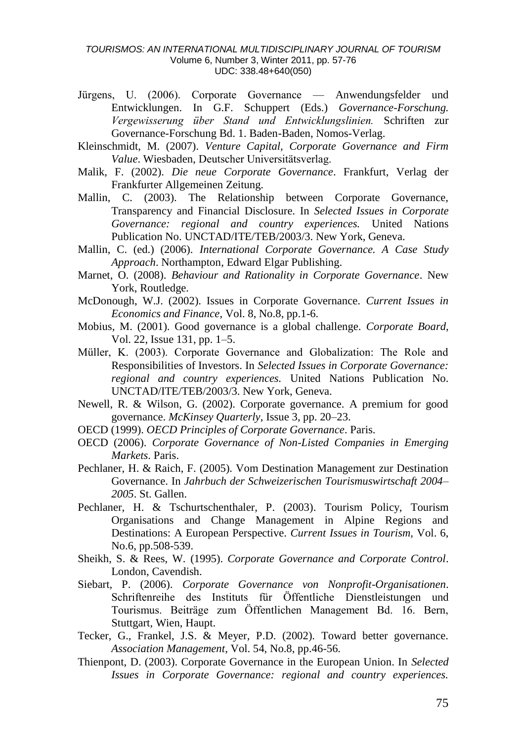- Jürgens, U. (2006). Corporate Governance Anwendungsfelder und Entwicklungen. In G.F. Schuppert (Eds.) *Governance-Forschung. Vergewisserung über Stand und Entwicklungslinien.* Schriften zur Governance-Forschung Bd. 1. Baden-Baden, Nomos-Verlag.
- Kleinschmidt, M. (2007). *Venture Capital, Corporate Governance and Firm Value*. Wiesbaden, Deutscher Universitätsverlag.
- Malik, F. (2002). *Die neue Corporate Governance*. Frankfurt, Verlag der Frankfurter Allgemeinen Zeitung.
- Mallin, C. (2003). The Relationship between Corporate Governance, Transparency and Financial Disclosure. In *Selected Issues in Corporate Governance: regional and country experiences.* United Nations Publication No. UNCTAD/ITE/TEB/2003/3. New York, Geneva.
- Mallin, C. (ed.) (2006). *International Corporate Governance. A Case Study Approach*. Northampton, Edward Elgar Publishing.
- Marnet, O. (2008). *Behaviour and Rationality in Corporate Governance*. New York, Routledge.
- McDonough, W.J. (2002). Issues in Corporate Governance. *Current Issues in Economics and Finance*, Vol. 8, No.8, pp.1-6.
- Mobius, M. (2001). Good governance is a global challenge. *Corporate Board*, Vol. 22, Issue 131, pp. 1–5.
- Müller, K. (2003). Corporate Governance and Globalization: The Role and Responsibilities of Investors. In *Selected Issues in Corporate Governance: regional and country experiences.* United Nations Publication No. UNCTAD/ITE/TEB/2003/3. New York, Geneva.
- Newell, R. & Wilson, G. (2002). Corporate governance. A premium for good governance. *McKinsey Quarterly*, Issue 3, pp. 20–23.
- OECD (1999). *OECD Principles of Corporate Governance*. Paris.
- OECD (2006). *Corporate Governance of Non-Listed Companies in Emerging Markets*. Paris.
- Pechlaner, H. & Raich, F. (2005). Vom Destination Management zur Destination Governance. In *Jahrbuch der Schweizerischen Tourismuswirtschaft 2004– 2005*. St. Gallen.
- Pechlaner, H. & Tschurtschenthaler, P. (2003). Tourism Policy, Tourism Organisations and Change Management in Alpine Regions and Destinations: A European Perspective. *Current Issues in Tourism*, Vol. 6, No.6, pp.508-539.
- Sheikh, S. & Rees, W. (1995). *Corporate Governance and Corporate Control*. London, Cavendish.
- Siebart, P. (2006). *Corporate Governance von Nonprofit-Organisationen*. Schriftenreihe des Instituts für Öffentliche Dienstleistungen und Tourismus. Beiträge zum Öffentlichen Management Bd. 16. Bern, Stuttgart, Wien, Haupt.
- Tecker, G., Frankel, J.S. & Meyer, P.D. (2002). Toward better governance. *Association Management*, Vol. 54, No.8, pp.46-56.
- Thienpont, D. (2003). Corporate Governance in the European Union. In *Selected Issues in Corporate Governance: regional and country experiences.*